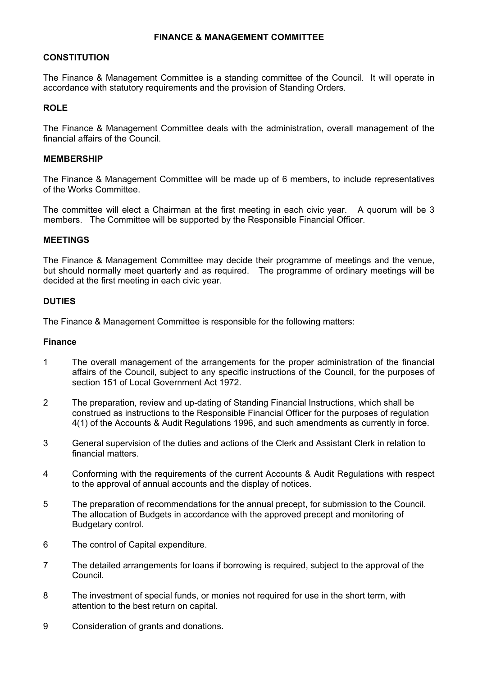### **FINANCE & MANAGEMENT COMMITTEE**

### **CONSTITUTION**

The Finance & Management Committee is a standing committee of the Council. It will operate in accordance with statutory requirements and the provision of Standing Orders.

# **ROLE**

The Finance & Management Committee deals with the administration, overall management of the financial affairs of the Council.

# **MEMBERSHIP**

The Finance & Management Committee will be made up of 6 members, to include representatives of the Works Committee.

The committee will elect a Chairman at the first meeting in each civic year. A quorum will be 3 members. The Committee will be supported by the Responsible Financial Officer.

#### **MEETINGS**

The Finance & Management Committee may decide their programme of meetings and the venue, but should normally meet quarterly and as required. The programme of ordinary meetings will be decided at the first meeting in each civic year.

### **DUTIES**

The Finance & Management Committee is responsible for the following matters:

#### **Finance**

- 1 The overall management of the arrangements for the proper administration of the financial affairs of the Council, subject to any specific instructions of the Council, for the purposes of section 151 of Local Government Act 1972.
- 2 The preparation, review and up-dating of Standing Financial Instructions, which shall be construed as instructions to the Responsible Financial Officer for the purposes of regulation 4(1) of the Accounts & Audit Regulations 1996, and such amendments as currently in force.
- 3 General supervision of the duties and actions of the Clerk and Assistant Clerk in relation to financial matters.
- 4 Conforming with the requirements of the current Accounts & Audit Regulations with respect to the approval of annual accounts and the display of notices.
- 5 The preparation of recommendations for the annual precept, for submission to the Council. The allocation of Budgets in accordance with the approved precept and monitoring of Budgetary control.
- 6 The control of Capital expenditure.
- 7 The detailed arrangements for loans if borrowing is required, subject to the approval of the Council.
- 8 The investment of special funds, or monies not required for use in the short term, with attention to the best return on capital.
- 9 Consideration of grants and donations.